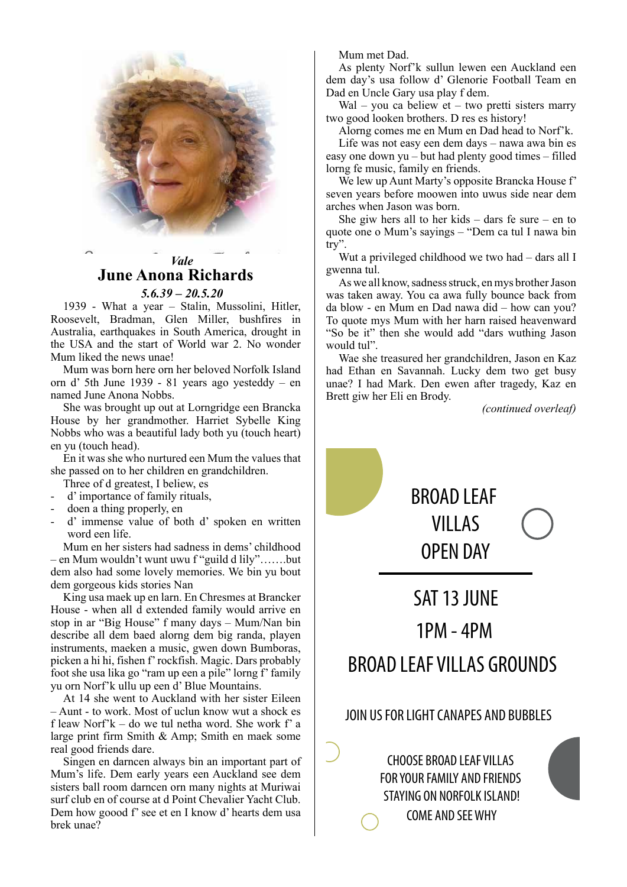

# *Vale* **June Anona Richards**

*5.6.39 – 20.5.20*

1939 - What a year – Stalin, Mussolini, Hitler, Roosevelt, Bradman, Glen Miller, bushfires in Australia, earthquakes in South America, drought in the USA and the start of World war 2. No wonder Mum liked the news unae!

Mum was born here orn her beloved Norfolk Island orn d' 5th June 1939 - 81 years ago yesteddy – en named June Anona Nobbs.

She was brought up out at Lorngridge een Brancka House by her grandmother. Harriet Sybelle King Nobbs who was a beautiful lady both yu (touch heart) en yu (touch head).

En it was she who nurtured een Mum the values that she passed on to her children en grandchildren.

- Three of d greatest, I beliew, es
- d' importance of family rituals,
- doen a thing properly, en
- d' immense value of both d' spoken en written word een life.

Mum en her sisters had sadness in dems' childhood – en Mum wouldn't wunt uwu f "guild d lily"…….but dem also had some lovely memories. We bin yu bout dem gorgeous kids stories Nan

King usa maek up en larn. En Chresmes at Brancker House - when all d extended family would arrive en stop in ar "Big House" f many days – Mum/Nan bin describe all dem baed alorng dem big randa, playen instruments, maeken a music, gwen down Bumboras, picken a hi hi, fishen f' rockfish. Magic. Dars probably foot she usa lika go "ram up een a pile" lorng f' family yu orn Norf'k ullu up een d' Blue Mountains.

At 14 she went to Auckland with her sister Eileen – Aunt - to work. Most of uclun know wut a shock es f leaw Norf'k – do we tul netha word. She work f' a large print firm Smith & Amp; Smith en maek some real good friends dare.

Singen en darncen always bin an important part of Mum's life. Dem early years een Auckland see dem sisters ball room darncen orn many nights at Muriwai surf club en of course at d Point Chevalier Yacht Club. Dem how goood f' see et en I know d' hearts dem usa brek unae?

Mum met Dad.

As plenty Norf'k sullun lewen een Auckland een dem day's usa follow d' Glenorie Football Team en Dad en Uncle Gary usa play f dem.

Wal – you ca beliew et – two pretti sisters marry two good looken brothers. D res es history!

Alorng comes me en Mum en Dad head to Norf'k.

Life was not easy een dem days – nawa awa bin es easy one down yu – but had plenty good times – filled lorng fe music, family en friends.

We lew up Aunt Marty's opposite Brancka House f' seven years before moowen into uwus side near dem arches when Jason was born.

She giw hers all to her kids – dars fe sure – en to quote one o Mum's sayings – "Dem ca tul I nawa bin try".

Wut a privileged childhood we two had – dars all I gwenna tul.

As we all know, sadness struck, en mys brother Jason was taken away. You ca awa fully bounce back from da blow - en Mum en Dad nawa did – how can you? To quote mys Mum with her harn raised heavenward "So be it" then she would add "dars wuthing Jason would tul".

Wae she treasured her grandchildren, Jason en Kaz had Ethan en Savannah. Lucky dem two get busy unae? I had Mark. Den ewen after tragedy, Kaz en Brett giw her Eli en Brody.

*(continued overleaf)*

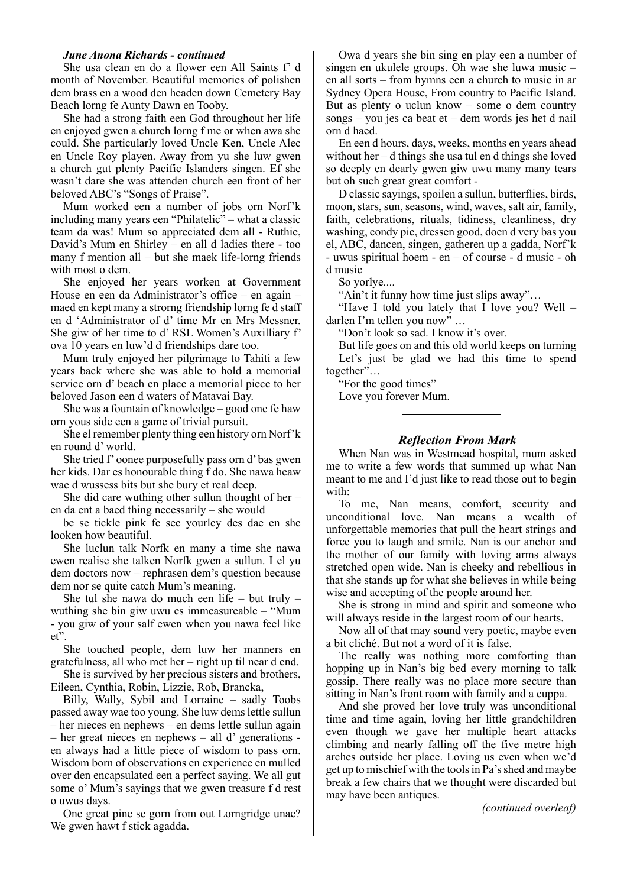She usa clean en do a flower een All Saints f' d month of November. Beautiful memories of polishen dem brass en a wood den headen down Cemetery Bay Beach lorng fe Aunty Dawn en Tooby.

She had a strong faith een God throughout her life en enjoyed gwen a church lorng f me or when awa she could. She particularly loved Uncle Ken, Uncle Alec en Uncle Roy playen. Away from yu she luw gwen a church gut plenty Pacific Islanders singen. Ef she wasn't dare she was attenden church een front of her beloved ABC's "Songs of Praise".

Mum worked een a number of jobs orn Norf'k including many years een "Philatelic" – what a classic team da was! Mum so appreciated dem all - Ruthie, David's Mum en Shirley – en all d ladies there - too many f mention all – but she maek life-lorng friends with most o dem.

She enjoyed her years worken at Government House en een da Administrator's office – en again – maed en kept many a strorng friendship lorng fe d staff en d 'Administrator of d' time Mr en Mrs Messner. She giw of her time to d' RSL Women's Auxilliary f' ova 10 years en luw'd d friendships dare too.

Mum truly enjoyed her pilgrimage to Tahiti a few years back where she was able to hold a memorial service orn d' beach en place a memorial piece to her beloved Jason een d waters of Matavai Bay.

She was a fountain of knowledge – good one fe haw orn yous side een a game of trivial pursuit.

She el remember plenty thing een history orn Norf'k en round d' world.

She tried f' oonee purposefully pass orn d' bas gwen her kids. Dar es honourable thing f do. She nawa heaw wae d wussess bits but she bury et real deep.

She did care wuthing other sullun thought of her – en da ent a baed thing necessarily – she would

be se tickle pink fe see yourley des dae en she looken how beautiful.

She luclun talk Norfk en many a time she nawa ewen realise she talken Norfk gwen a sullun. I el yu dem doctors now – rephrasen dem's question because dem nor se quite catch Mum's meaning.

She tul she nawa do much een life – but truly – wuthing she bin giw uwu es immeasureable – "Mum - you giw of your salf ewen when you nawa feel like et".

She touched people, dem luw her manners en gratefulness, all who met her – right up til near d end.

She is survived by her precious sisters and brothers, Eileen, Cynthia, Robin, Lizzie, Rob, Brancka,

Billy, Wally, Sybil and Lorraine – sadly Toobs passed away wae too young. She luw dems lettle sullun – her nieces en nephews – en dems lettle sullun again – her great nieces en nephews – all d' generations en always had a little piece of wisdom to pass orn. Wisdom born of observations en experience en mulled over den encapsulated een a perfect saying. We all gut some o' Mum's sayings that we gwen treasure f d rest o uwus days.

One great pine se gorn from out Lorngridge unae? We gwen hawt f stick agadda.

Owa d years she bin sing en play een a number of singen en ukulele groups. Oh wae she luwa music – en all sorts – from hymns een a church to music in ar Sydney Opera House, From country to Pacific Island. But as plenty o uclun know – some o dem country songs – you jes ca beat et – dem words jes het d nail orn d haed.

En een d hours, days, weeks, months en years ahead without her – d things she usa tul en d things she loved so deeply en dearly gwen giw uwu many many tears but oh such great great comfort -

D classic sayings, spoilen a sullun, butterflies, birds, moon, stars, sun, seasons, wind, waves, salt air, family, faith, celebrations, rituals, tidiness, cleanliness, dry washing, condy pie, dressen good, doen d very bas you el, ABC, dancen, singen, gatheren up a gadda, Norf'k - uwus spiritual hoem - en – of course - d music - oh d music

So yorlye....

"Ain't it funny how time just slips away"...

"Have I told you lately that  $\overline{I}$  love you? Well – darlen I'm tellen you now" …

"Don't look so sad. I know it's over.

But life goes on and this old world keeps on turning Let's just be glad we had this time to spend together"…

"For the good times"

Love you forever Mum.

## *Reflection From Mark*

When Nan was in Westmead hospital, mum asked me to write a few words that summed up what Nan meant to me and I'd just like to read those out to begin with:

To me, Nan means, comfort, security and unconditional love. Nan means a wealth of unforgettable memories that pull the heart strings and force you to laugh and smile. Nan is our anchor and the mother of our family with loving arms always stretched open wide. Nan is cheeky and rebellious in that she stands up for what she believes in while being wise and accepting of the people around her.

She is strong in mind and spirit and someone who will always reside in the largest room of our hearts.

Now all of that may sound very poetic, maybe even a bit cliché. But not a word of it is false.

The really was nothing more comforting than hopping up in Nan's big bed every morning to talk gossip. There really was no place more secure than sitting in Nan's front room with family and a cuppa.

And she proved her love truly was unconditional time and time again, loving her little grandchildren even though we gave her multiple heart attacks climbing and nearly falling off the five metre high arches outside her place. Loving us even when we'd get up to mischief with the tools in Pa's shed and maybe break a few chairs that we thought were discarded but may have been antiques.

*(continued overleaf)*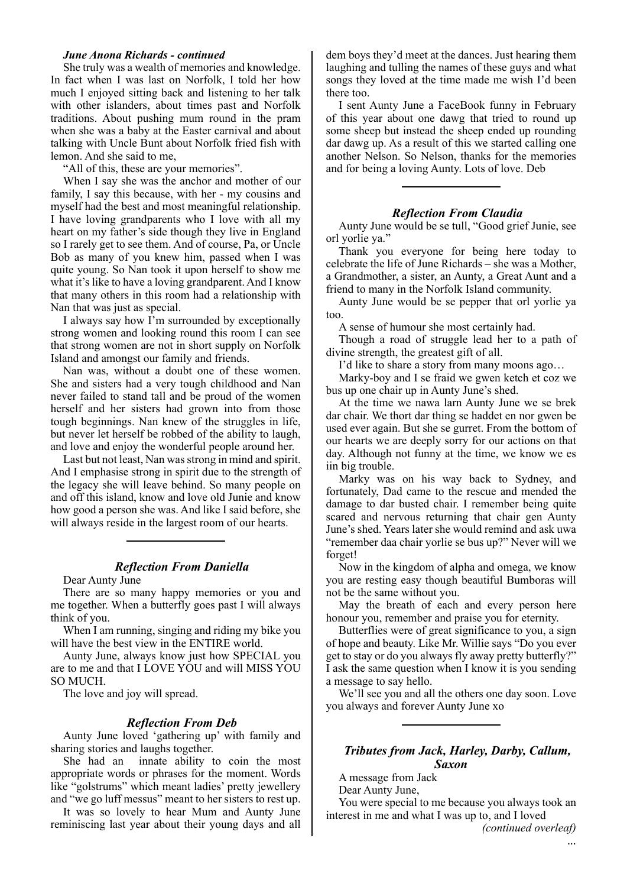She truly was a wealth of memories and knowledge. In fact when I was last on Norfolk, I told her how much I enjoyed sitting back and listening to her talk with other islanders, about times past and Norfolk traditions. About pushing mum round in the pram when she was a baby at the Easter carnival and about talking with Uncle Bunt about Norfolk fried fish with lemon. And she said to me,

"All of this, these are your memories".

When I say she was the anchor and mother of our family, I say this because, with her - my cousins and myself had the best and most meaningful relationship. I have loving grandparents who I love with all my heart on my father's side though they live in England so I rarely get to see them. And of course, Pa, or Uncle Bob as many of you knew him, passed when I was quite young. So Nan took it upon herself to show me what it's like to have a loving grandparent. And I know that many others in this room had a relationship with Nan that was just as special.

I always say how I'm surrounded by exceptionally strong women and looking round this room I can see that strong women are not in short supply on Norfolk Island and amongst our family and friends.

Nan was, without a doubt one of these women. She and sisters had a very tough childhood and Nan never failed to stand tall and be proud of the women herself and her sisters had grown into from those tough beginnings. Nan knew of the struggles in life, but never let herself be robbed of the ability to laugh, and love and enjoy the wonderful people around her.

Last but not least, Nan was strong in mind and spirit. And I emphasise strong in spirit due to the strength of the legacy she will leave behind. So many people on and off this island, know and love old Junie and know how good a person she was. And like I said before, she will always reside in the largest room of our hearts.

## *Reflection From Daniella*

Dear Aunty June

There are so many happy memories or you and me together. When a butterfly goes past I will always think of you.

When I am running, singing and riding my bike you will have the best view in the ENTIRE world.

Aunty June, always know just how SPECIAL you are to me and that I LOVE YOU and will MISS YOU SO MUCH.

The love and joy will spread.

#### *Reflection From Deb*

Aunty June loved 'gathering up' with family and sharing stories and laughs together.

She had an innate ability to coin the most appropriate words or phrases for the moment. Words like "golstrums" which meant ladies' pretty jewellery and "we go luff messus" meant to her sisters to rest up.

It was so lovely to hear Mum and Aunty June reminiscing last year about their young days and all dem boys they'd meet at the dances. Just hearing them laughing and tulling the names of these guys and what songs they loved at the time made me wish I'd been there too.

I sent Aunty June a FaceBook funny in February of this year about one dawg that tried to round up some sheep but instead the sheep ended up rounding dar dawg up. As a result of this we started calling one another Nelson. So Nelson, thanks for the memories and for being a loving Aunty. Lots of love. Deb

#### *Reflection From Claudia*

Aunty June would be se tull, "Good grief Junie, see orl yorlie ya."

Thank you everyone for being here today to celebrate the life of June Richards – she was a Mother, a Grandmother, a sister, an Aunty, a Great Aunt and a friend to many in the Norfolk Island community.

Aunty June would be se pepper that orl yorlie ya too.

A sense of humour she most certainly had.

Though a road of struggle lead her to a path of divine strength, the greatest gift of all.

I'd like to share a story from many moons ago…

Marky-boy and I se fraid we gwen ketch et coz we bus up one chair up in Aunty June's shed.

At the time we nawa larn Aunty June we se brek dar chair. We thort dar thing se haddet en nor gwen be used ever again. But she se gurret. From the bottom of our hearts we are deeply sorry for our actions on that day. Although not funny at the time, we know we es iin big trouble.

Marky was on his way back to Sydney, and fortunately, Dad came to the rescue and mended the damage to dar busted chair. I remember being quite scared and nervous returning that chair gen Aunty June's shed. Years later she would remind and ask uwa "remember daa chair yorlie se bus up?" Never will we forget!

Now in the kingdom of alpha and omega, we know you are resting easy though beautiful Bumboras will not be the same without you.

May the breath of each and every person here honour you, remember and praise you for eternity.

Butterflies were of great significance to you, a sign of hope and beauty. Like Mr. Willie says "Do you ever get to stay or do you always fly away pretty butterfly?" I ask the same question when I know it is you sending a message to say hello.

We'll see you and all the others one day soon. Love you always and forever Aunty June xo

## *Tributes from Jack, Harley, Darby, Callum, Saxon*

A message from Jack Dear Aunty June,

You were special to me because you always took an interest in me and what I was up to, and I loved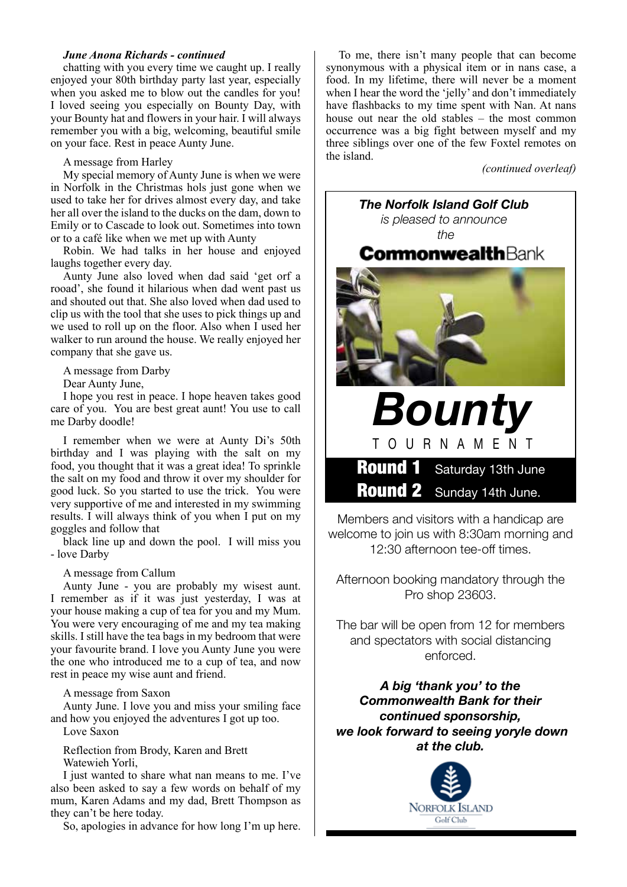chatting with you every time we caught up. I really enjoyed your 80th birthday party last year, especially when you asked me to blow out the candles for you! I loved seeing you especially on Bounty Day, with your Bounty hat and flowers in your hair. I will always remember you with a big, welcoming, beautiful smile on your face. Rest in peace Aunty June.

A message from Harley

My special memory of Aunty June is when we were in Norfolk in the Christmas hols just gone when we used to take her for drives almost every day, and take her all over the island to the ducks on the dam, down to Emily or to Cascade to look out. Sometimes into town or to a café like when we met up with Aunty

Robin. We had talks in her house and enjoyed laughs together every day.

Aunty June also loved when dad said 'get orf a rooad', she found it hilarious when dad went past us and shouted out that. She also loved when dad used to clip us with the tool that she uses to pick things up and we used to roll up on the floor. Also when I used her walker to run around the house. We really enjoyed her company that she gave us.

A message from Darby

Dear Aunty June,

I hope you rest in peace. I hope heaven takes good care of you. You are best great aunt! You use to call me Darby doodle!

I remember when we were at Aunty Di's 50th birthday and I was playing with the salt on my food, you thought that it was a great idea! To sprinkle the salt on my food and throw it over my shoulder for good luck. So you started to use the trick. You were very supportive of me and interested in my swimming results. I will always think of you when I put on my goggles and follow that

black line up and down the pool. I will miss you - love Darby

A message from Callum

Aunty June - you are probably my wisest aunt. I remember as if it was just yesterday, I was at your house making a cup of tea for you and my Mum. You were very encouraging of me and my tea making skills. I still have the tea bags in my bedroom that were your favourite brand. I love you Aunty June you were the one who introduced me to a cup of tea, and now rest in peace my wise aunt and friend.

A message from Saxon

Aunty June. I love you and miss your smiling face and how you enjoyed the adventures I got up too. Love Saxon

Reflection from Brody, Karen and Brett Watewieh Yorli,

I just wanted to share what nan means to me. I've also been asked to say a few words on behalf of my mum, Karen Adams and my dad, Brett Thompson as they can't be here today.

So, apologies in advance for how long I'm up here.

To me, there isn't many people that can become synonymous with a physical item or in nans case, a food. In my lifetime, there will never be a moment when I hear the word the 'jelly' and don't immediately have flashbacks to my time spent with Nan. At nans house out near the old stables – the most common occurrence was a big fight between myself and my three siblings over one of the few Foxtel remotes on the island.

*(continued overleaf)*



Members and visitors with a handicap are welcome to join us with 8:30am morning and 12:30 afternoon tee-off times.

Afternoon booking mandatory through the Pro shop 23603.

The bar will be open from 12 for members and spectators with social distancing enforced.

*A big 'thank you' to the Commonwealth Bank for their continued sponsorship, we look forward to seeing yoryle down at the club.* 

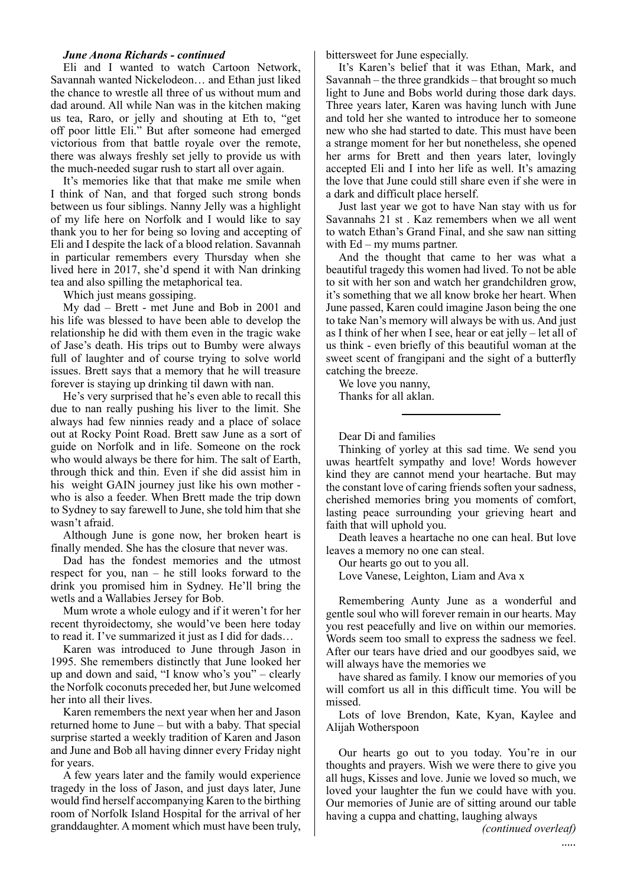Eli and I wanted to watch Cartoon Network, Savannah wanted Nickelodeon… and Ethan just liked the chance to wrestle all three of us without mum and dad around. All while Nan was in the kitchen making us tea, Raro, or jelly and shouting at Eth to, "get off poor little Eli." But after someone had emerged victorious from that battle royale over the remote, there was always freshly set jelly to provide us with the much-needed sugar rush to start all over again.

It's memories like that that make me smile when I think of Nan, and that forged such strong bonds between us four siblings. Nanny Jelly was a highlight of my life here on Norfolk and I would like to say thank you to her for being so loving and accepting of Eli and I despite the lack of a blood relation. Savannah in particular remembers every Thursday when she lived here in 2017, she'd spend it with Nan drinking tea and also spilling the metaphorical tea.

Which just means gossiping.

My dad – Brett - met June and Bob in 2001 and his life was blessed to have been able to develop the relationship he did with them even in the tragic wake of Jase's death. His trips out to Bumby were always full of laughter and of course trying to solve world issues. Brett says that a memory that he will treasure forever is staying up drinking til dawn with nan.

He's very surprised that he's even able to recall this due to nan really pushing his liver to the limit. She always had few ninnies ready and a place of solace out at Rocky Point Road. Brett saw June as a sort of guide on Norfolk and in life. Someone on the rock who would always be there for him. The salt of Earth, through thick and thin. Even if she did assist him in his weight GAIN journey just like his own mother who is also a feeder. When Brett made the trip down to Sydney to say farewell to June, she told him that she wasn't afraid.

Although June is gone now, her broken heart is finally mended. She has the closure that never was.

Dad has the fondest memories and the utmost respect for you, nan – he still looks forward to the drink you promised him in Sydney. He'll bring the wetls and a Wallabies Jersey for Bob.

Mum wrote a whole eulogy and if it weren't for her recent thyroidectomy, she would've been here today to read it. I've summarized it just as I did for dads…

Karen was introduced to June through Jason in 1995. She remembers distinctly that June looked her up and down and said, "I know who's you" – clearly the Norfolk coconuts preceded her, but June welcomed her into all their lives.

Karen remembers the next year when her and Jason returned home to June – but with a baby. That special surprise started a weekly tradition of Karen and Jason and June and Bob all having dinner every Friday night for years.

A few years later and the family would experience tragedy in the loss of Jason, and just days later, June would find herself accompanying Karen to the birthing room of Norfolk Island Hospital for the arrival of her granddaughter. A moment which must have been truly,

bittersweet for June especially.

It's Karen's belief that it was Ethan, Mark, and Savannah – the three grandkids – that brought so much light to June and Bobs world during those dark days. Three years later, Karen was having lunch with June and told her she wanted to introduce her to someone new who she had started to date. This must have been a strange moment for her but nonetheless, she opened her arms for Brett and then years later, lovingly accepted Eli and I into her life as well. It's amazing the love that June could still share even if she were in a dark and difficult place herself.

Just last year we got to have Nan stay with us for Savannahs 21 st . Kaz remembers when we all went to watch Ethan's Grand Final, and she saw nan sitting with Ed – my mums partner.

And the thought that came to her was what a beautiful tragedy this women had lived. To not be able to sit with her son and watch her grandchildren grow, it's something that we all know broke her heart. When June passed, Karen could imagine Jason being the one to take Nan's memory will always be with us. And just as I think of her when I see, hear or eat jelly – let all of us think - even briefly of this beautiful woman at the sweet scent of frangipani and the sight of a butterfly catching the breeze.

We love you nanny, Thanks for all aklan.

Dear Di and families

Thinking of yorley at this sad time. We send you uwas heartfelt sympathy and love! Words however kind they are cannot mend your heartache. But may the constant love of caring friends soften your sadness, cherished memories bring you moments of comfort, lasting peace surrounding your grieving heart and faith that will uphold you.

Death leaves a heartache no one can heal. But love leaves a memory no one can steal.

Our hearts go out to you all.

Love Vanese, Leighton, Liam and Ava x

Remembering Aunty June as a wonderful and gentle soul who will forever remain in our hearts. May you rest peacefully and live on within our memories. Words seem too small to express the sadness we feel. After our tears have dried and our goodbyes said, we will always have the memories we

have shared as family. I know our memories of you will comfort us all in this difficult time. You will be missed.

Lots of love Brendon, Kate, Kyan, Kaylee and Alijah Wotherspoon

Our hearts go out to you today. You're in our thoughts and prayers. Wish we were there to give you all hugs, Kisses and love. Junie we loved so much, we loved your laughter the fun we could have with you. Our memories of Junie are of sitting around our table having a cuppa and chatting, laughing always